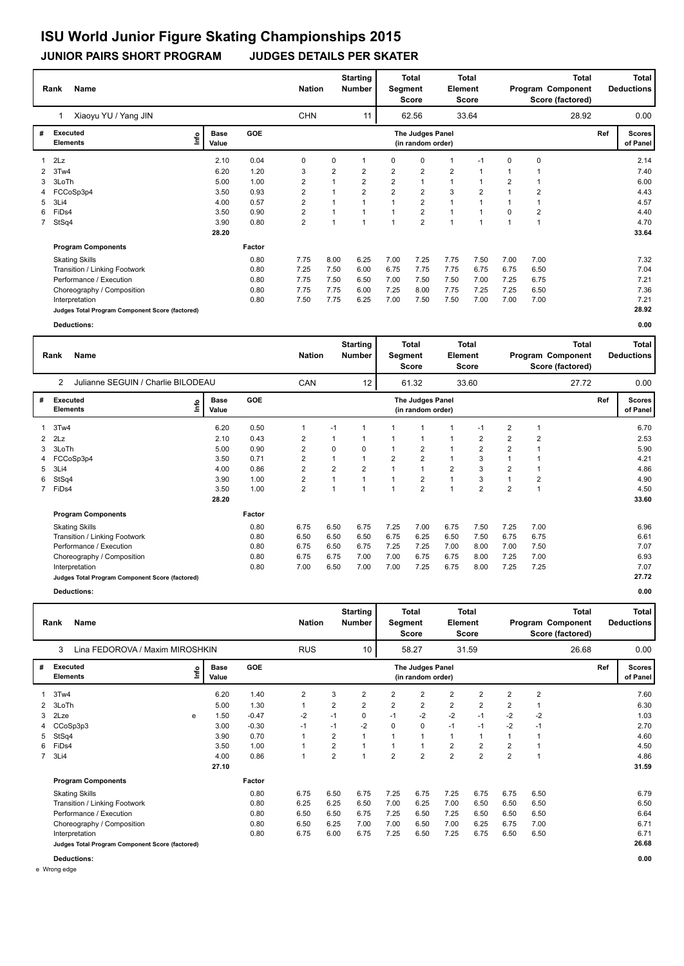**JUNIOR PAIRS SHORT PROGRAM JUDGES DETAILS PER SKATER**

|             | Name<br>Rank                                    |      |                      |        | <b>Nation</b> |                | <b>Starting</b><br>Number |                | <b>Total</b><br>Segment<br>Score      | Element        | Total<br>Score |                |                | <b>Total</b><br>Program Component<br>Score (factored) |     | Total<br><b>Deductions</b> |
|-------------|-------------------------------------------------|------|----------------------|--------|---------------|----------------|---------------------------|----------------|---------------------------------------|----------------|----------------|----------------|----------------|-------------------------------------------------------|-----|----------------------------|
|             | Xiaoyu YU / Yang JIN                            |      |                      |        | <b>CHN</b>    |                | 11                        |                | 62.56                                 |                | 33.64          |                |                | 28.92                                                 |     | 0.00                       |
| #           | <b>Executed</b><br><b>Elements</b>              | ١nf٥ | <b>Base</b><br>Value | GOE    |               |                |                           |                | The Judges Panel<br>(in random order) |                |                |                |                |                                                       | Ref | <b>Scores</b><br>of Panel  |
|             | 2Lz                                             |      | 2.10                 | 0.04   | 0             | 0              |                           | 0              | 0                                     | $\mathbf 1$    | $-1$           | 0              | 0              |                                                       |     | 2.14                       |
| 2           | 3Tw4                                            |      | 6.20                 | 1.20   | 3             | $\overline{2}$ | 2                         | $\overline{2}$ | $\overline{2}$                        | $\overline{2}$ |                |                |                |                                                       |     | 7.40                       |
| 3           | 3LoTh                                           |      | 5.00                 | 1.00   | 2             |                | $\overline{2}$            | $\overline{2}$ |                                       | $\mathbf{1}$   |                | $\overline{2}$ |                |                                                       |     | 6.00                       |
|             | FCCoSp3p4                                       |      | 3.50                 | 0.93   | 2             |                | $\overline{2}$            | $\overline{2}$ | $\overline{2}$                        | 3              | $\overline{2}$ | $\overline{ }$ | $\overline{2}$ |                                                       |     | 4.43                       |
| 5           | 3Li4                                            |      | 4.00                 | 0.57   | 2             |                |                           | $\overline{1}$ | $\overline{2}$                        | 1              |                |                |                |                                                       |     | 4.57                       |
| 6           | FiDs4                                           |      | 3.50                 | 0.90   | 2             |                | 1                         | 1              | $\overline{2}$                        | $\overline{1}$ |                | 0              | $\overline{2}$ |                                                       |     | 4.40                       |
| $7^{\circ}$ | StSq4                                           |      | 3.90                 | 0.80   | 2             |                | $\overline{1}$            | $\overline{1}$ | $\overline{2}$                        | 1              | 1              | $\mathbf 1$    |                |                                                       |     | 4.70                       |
|             |                                                 |      | 28.20                |        |               |                |                           |                |                                       |                |                |                |                |                                                       |     | 33.64                      |
|             | <b>Program Components</b>                       |      |                      | Factor |               |                |                           |                |                                       |                |                |                |                |                                                       |     |                            |
|             | <b>Skating Skills</b>                           |      |                      | 0.80   | 7.75          | 8.00           | 6.25                      | 7.00           | 7.25                                  | 7.75           | 7.50           | 7.00           | 7.00           |                                                       |     | 7.32                       |
|             | Transition / Linking Footwork                   |      |                      | 0.80   | 7.25          | 7.50           | 6.00                      | 6.75           | 7.75                                  | 7.75           | 6.75           | 6.75           | 6.50           |                                                       |     | 7.04                       |
|             | Performance / Execution                         |      |                      | 0.80   | 7.75          | 7.50           | 6.50                      | 7.00           | 7.50                                  | 7.50           | 7.00           | 7.25           | 6.75           |                                                       |     | 7.21                       |
|             | Choreography / Composition                      |      |                      | 0.80   | 7.75          | 7.75           | 6.00                      | 7.25           | 8.00                                  | 7.75           | 7.25           | 7.25           | 6.50           |                                                       |     | 7.36                       |
|             | Interpretation                                  |      |                      | 0.80   | 7.50          | 7.75           | 6.25                      | 7.00           | 7.50                                  | 7.50           | 7.00           | 7.00           | 7.00           |                                                       |     | 7.21                       |
|             | Judges Total Program Component Score (factored) |      |                      |        |               |                |                           |                |                                       |                |                |                |                |                                                       |     | 28.92                      |
|             | Deductions:                                     |      |                      |        |               |                |                           |                |                                       |                |                |                |                |                                                       |     | 0.00                       |

|   | Name<br>Rank                                         |      |               |        | <b>Nation</b>  |                | <b>Starting</b><br><b>Number</b> | Segment        | <b>Total</b><br><b>Score</b>          | Element        | <b>Total</b><br>Score |                |                | <b>Total</b><br>Program Component<br>Score (factored) |     | Total<br><b>Deductions</b> |
|---|------------------------------------------------------|------|---------------|--------|----------------|----------------|----------------------------------|----------------|---------------------------------------|----------------|-----------------------|----------------|----------------|-------------------------------------------------------|-----|----------------------------|
|   | Julianne SEGUIN / Charlie BILODEAU<br>$\overline{2}$ |      |               |        | CAN            |                | 12                               |                | 61.32                                 |                | 33.60                 |                |                | 27.72                                                 |     | 0.00                       |
| # | Executed<br><b>Elements</b>                          | lnfo | Base<br>Value | GOE    |                |                |                                  |                | The Judges Panel<br>(in random order) |                |                       |                |                |                                                       | Ref | <b>Scores</b><br>of Panel  |
|   | 3Tw4                                                 |      | 6.20          | 0.50   | 1              | $-1$           | 1                                |                |                                       |                | $-1$                  | $\overline{2}$ | 1              |                                                       |     | 6.70                       |
| 2 | 2Lz                                                  |      | 2.10          | 0.43   | 2              | 1              |                                  |                | 1                                     | $\overline{1}$ | 2                     | $\overline{2}$ | $\overline{2}$ |                                                       |     | 2.53                       |
| 3 | 3LoTh                                                |      | 5.00          | 0.90   | $\overline{2}$ | $\Omega$       | $\Omega$                         |                | $\overline{2}$                        | $\overline{1}$ | $\overline{2}$        | $\overline{2}$ | 1              |                                                       |     | 5.90                       |
| 4 | FCCoSp3p4                                            |      | 3.50          | 0.71   | $\overline{2}$ | 1              |                                  | $\overline{2}$ | $\overline{2}$                        | $\mathbf{1}$   | 3                     |                | 1              |                                                       |     | 4.21                       |
| 5 | 3Li4                                                 |      | 4.00          | 0.86   | $\overline{2}$ | $\overline{2}$ | $\overline{2}$                   |                | $\mathbf{1}$                          | $\overline{2}$ | 3                     | $\overline{2}$ | 1              |                                                       |     | 4.86                       |
| 6 | StSq4                                                |      | 3.90          | 1.00   | 2              | 1              | 1                                |                | $\overline{2}$                        | $\mathbf{1}$   | 3                     |                | 2              |                                                       |     | 4.90                       |
|   | 7 FiDs4                                              |      | 3.50          | 1.00   | $\overline{2}$ | $\overline{ }$ | 1                                |                | $\overline{2}$                        | $\overline{1}$ | $\overline{2}$        | $\overline{2}$ | 1              |                                                       |     | 4.50                       |
|   |                                                      |      | 28.20         |        |                |                |                                  |                |                                       |                |                       |                |                |                                                       |     | 33.60                      |
|   | <b>Program Components</b>                            |      |               | Factor |                |                |                                  |                |                                       |                |                       |                |                |                                                       |     |                            |
|   | <b>Skating Skills</b>                                |      |               | 0.80   | 6.75           | 6.50           | 6.75                             | 7.25           | 7.00                                  | 6.75           | 7.50                  | 7.25           | 7.00           |                                                       |     | 6.96                       |
|   | Transition / Linking Footwork                        |      |               | 0.80   | 6.50           | 6.50           | 6.50                             | 6.75           | 6.25                                  | 6.50           | 7.50                  | 6.75           | 6.75           |                                                       |     | 6.61                       |
|   | Performance / Execution                              |      |               | 0.80   | 6.75           | 6.50           | 6.75                             | 7.25           | 7.25                                  | 7.00           | 8.00                  | 7.00           | 7.50           |                                                       |     | 7.07                       |
|   | Choreography / Composition                           |      |               | 0.80   | 6.75           | 6.75           | 7.00                             | 7.00           | 6.75                                  | 6.75           | 8.00                  | 7.25           | 7.00           |                                                       |     | 6.93                       |
|   | Interpretation                                       |      |               | 0.80   | 7.00           | 6.50           | 7.00                             | 7.00           | 7.25                                  | 6.75           | 8.00                  | 7.25           | 7.25           |                                                       |     | 7.07                       |
|   | Judges Total Program Component Score (factored)      |      |               |        |                |                |                                  |                |                                       |                |                       |                |                |                                                       |     | 27.72                      |
|   | Deductions:                                          |      |               |        |                |                |                                  |                |                                       |                |                       |                |                |                                                       |     | 0.00                       |

|             | <b>Name</b><br>Rank                             |      |                      |            | <b>Nation</b>  |                | <b>Starting</b><br><b>Number</b> | Segment        | <b>Total</b><br><b>Score</b>          | Element        | <b>Total</b><br><b>Score</b> |                |                | <b>Total</b><br>Program Component<br>Score (factored) |     | Total  <br><b>Deductions</b> |
|-------------|-------------------------------------------------|------|----------------------|------------|----------------|----------------|----------------------------------|----------------|---------------------------------------|----------------|------------------------------|----------------|----------------|-------------------------------------------------------|-----|------------------------------|
|             | Lina FEDOROVA / Maxim MIROSHKIN<br>3            |      |                      |            | <b>RUS</b>     |                | 10                               |                | 58.27                                 |                | 31.59                        |                |                | 26.68                                                 |     | 0.00                         |
| #           | Executed<br><b>Elements</b>                     | lnfo | <b>Base</b><br>Value | <b>GOE</b> |                |                |                                  |                | The Judges Panel<br>(in random order) |                |                              |                |                |                                                       | Ref | <b>Scores</b><br>of Panel    |
|             | 3Tw4                                            |      | 6.20                 | 1.40       | $\overline{2}$ | 3              | 2                                | 2              | $\overline{2}$                        | 2              | $\overline{2}$               | 2              | $\overline{2}$ |                                                       |     | 7.60                         |
| 2           | 3LoTh                                           |      | 5.00                 | 1.30       | 1              | 2              | 2                                | $\overline{2}$ | $\overline{2}$                        | 2              | 2                            | 2              | 1              |                                                       |     | 6.30                         |
| 3           | 2Lze                                            | e    | 1.50                 | $-0.47$    | $-2$           | $-1$           | 0                                | $-1$           | $-2$                                  | $-2$           | $-1$                         | $-2$           | $-2$           |                                                       |     | 1.03                         |
|             | 4 CCoSp3p3                                      |      | 3.00                 | $-0.30$    | $-1$           | $-1$           | $-2$                             | 0              | 0                                     | $-1$           | $-1$                         | $-2$           | $-1$           |                                                       |     | 2.70                         |
| 5           | StSq4                                           |      | 3.90                 | 0.70       |                | $\overline{2}$ |                                  | 1              | 1                                     | 1              |                              |                | 1              |                                                       |     | 4.60                         |
| 6           | FiDs4                                           |      | 3.50                 | 1.00       |                | 2              |                                  | 1              | 1                                     | 2              | 2                            | 2              | 1              |                                                       |     | 4.50                         |
| $7^{\circ}$ | 3Li4                                            |      | 4.00                 | 0.86       | $\overline{1}$ | 2              | $\overline{ }$                   | $\overline{2}$ | $\overline{2}$                        | $\overline{2}$ | $\overline{2}$               | $\overline{2}$ | 1              |                                                       |     | 4.86                         |
|             |                                                 |      | 27.10                |            |                |                |                                  |                |                                       |                |                              |                |                |                                                       |     | 31.59                        |
|             | <b>Program Components</b>                       |      |                      | Factor     |                |                |                                  |                |                                       |                |                              |                |                |                                                       |     |                              |
|             | <b>Skating Skills</b>                           |      |                      | 0.80       | 6.75           | 6.50           | 6.75                             | 7.25           | 6.75                                  | 7.25           | 6.75                         | 6.75           | 6.50           |                                                       |     | 6.79                         |
|             | Transition / Linking Footwork                   |      |                      | 0.80       | 6.25           | 6.25           | 6.50                             | 7.00           | 6.25                                  | 7.00           | 6.50                         | 6.50           | 6.50           |                                                       |     | 6.50                         |
|             | Performance / Execution                         |      |                      | 0.80       | 6.50           | 6.50           | 6.75                             | 7.25           | 6.50                                  | 7.25           | 6.50                         | 6.50           | 6.50           |                                                       |     | 6.64                         |
|             | Choreography / Composition                      |      |                      | 0.80       | 6.50           | 6.25           | 7.00                             | 7.00           | 6.50                                  | 7.00           | 6.25                         | 6.75           | 7.00           |                                                       |     | 6.71                         |
|             | Interpretation                                  |      |                      | 0.80       | 6.75           | 6.00           | 6.75                             | 7.25           | 6.50                                  | 7.25           | 6.75                         | 6.50           | 6.50           |                                                       |     | 6.71                         |
|             | Judges Total Program Component Score (factored) |      |                      |            |                |                |                                  |                |                                       |                |                              |                |                |                                                       |     | 26.68                        |

**Deductions: 0.00**

e Wrong edge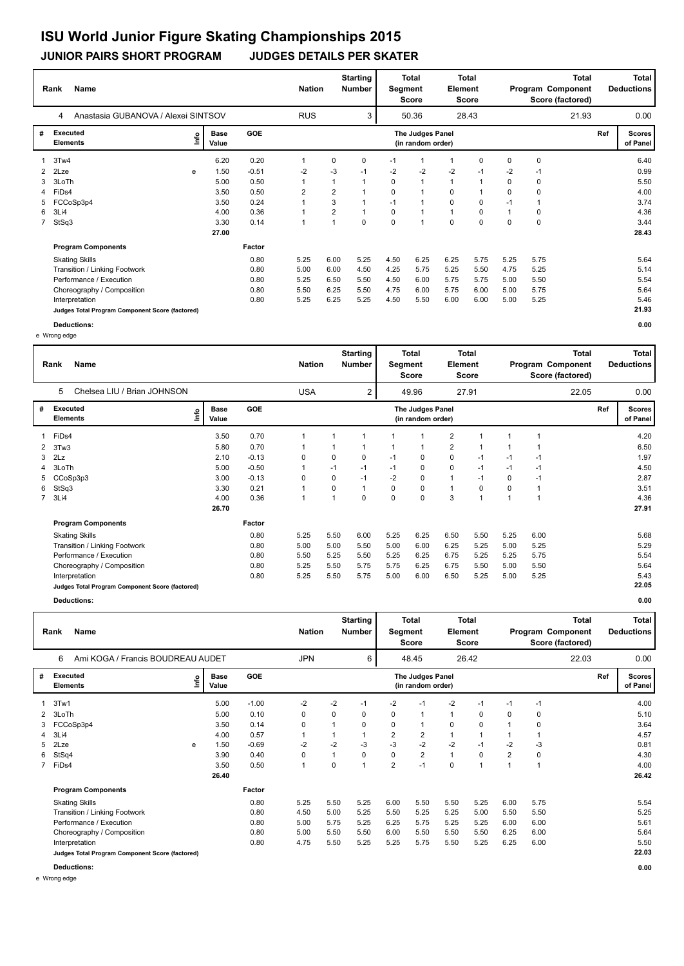**JUNIOR PAIRS SHORT PROGRAM JUDGES DETAILS PER SKATER**

|   | Name<br>Rank                                    |      |                      |         | <b>Nation</b>  |                | <b>Starting</b><br><b>Number</b> | Segment | <b>Total</b><br>Score                 | Element     | <b>Total</b><br>Score |             |             | <b>Total</b><br>Program Component<br>Score (factored) |     | Total<br><b>Deductions</b> |
|---|-------------------------------------------------|------|----------------------|---------|----------------|----------------|----------------------------------|---------|---------------------------------------|-------------|-----------------------|-------------|-------------|-------------------------------------------------------|-----|----------------------------|
|   | Anastasia GUBANOVA / Alexei SINTSOV<br>4        |      |                      |         | <b>RUS</b>     |                | 3                                |         | 50.36                                 |             | 28.43                 |             |             | 21.93                                                 |     | 0.00                       |
| # | Executed<br><b>Elements</b>                     | lnfo | <b>Base</b><br>Value | GOE     |                |                |                                  |         | The Judges Panel<br>(in random order) |             |                       |             |             |                                                       | Ref | <b>Scores</b><br>of Panel  |
| 1 | 3Tw4                                            |      | 6.20                 | 0.20    | 1              | 0              | 0                                | $-1$    | -1                                    |             | 0                     | $\mathbf 0$ | $\mathbf 0$ |                                                       |     | 6.40                       |
|   | 2 2Lze                                          | e    | 1.50                 | $-0.51$ | $-2$           | $-3$           | $-1$                             | -2      | $-2$                                  | $-2$        | $-1$                  | $-2$        | $-1$        |                                                       |     | 0.99                       |
| 3 | 3LoTh                                           |      | 5.00                 | 0.50    | 1              |                |                                  | 0       | $\mathbf{1}$                          |             |                       | 0           | 0           |                                                       |     | 5.50                       |
|   | 4 FiDs4                                         |      | 3.50                 | 0.50    | $\overline{2}$ | $\overline{2}$ |                                  | 0       | $\overline{\mathbf{A}}$               | 0           |                       | 0           | 0           |                                                       |     | 4.00                       |
| 5 | FCCoSp3p4                                       |      | 3.50                 | 0.24    | 1              | 3              |                                  | $-1$    | 1                                     | 0           | 0                     | $-1$        |             |                                                       |     | 3.74                       |
| 6 | 3Li4                                            |      | 4.00                 | 0.36    |                | $\overline{2}$ |                                  | 0       | 1                                     |             | 0                     |             | 0           |                                                       |     | 4.36                       |
|   | 7 StSq3                                         |      | 3.30                 | 0.14    | 1              |                | 0                                | 0       | $\overline{1}$                        | $\mathbf 0$ | 0                     | 0           | 0           |                                                       |     | 3.44                       |
|   |                                                 |      | 27.00                |         |                |                |                                  |         |                                       |             |                       |             |             |                                                       |     | 28.43                      |
|   | <b>Program Components</b>                       |      |                      | Factor  |                |                |                                  |         |                                       |             |                       |             |             |                                                       |     |                            |
|   | <b>Skating Skills</b>                           |      |                      | 0.80    | 5.25           | 6.00           | 5.25                             | 4.50    | 6.25                                  | 6.25        | 5.75                  | 5.25        | 5.75        |                                                       |     | 5.64                       |
|   | Transition / Linking Footwork                   |      |                      | 0.80    | 5.00           | 6.00           | 4.50                             | 4.25    | 5.75                                  | 5.25        | 5.50                  | 4.75        | 5.25        |                                                       |     | 5.14                       |
|   | Performance / Execution                         |      |                      | 0.80    | 5.25           | 6.50           | 5.50                             | 4.50    | 6.00                                  | 5.75        | 5.75                  | 5.00        | 5.50        |                                                       |     | 5.54                       |
|   | Choreography / Composition                      |      |                      | 0.80    | 5.50           | 6.25           | 5.50                             | 4.75    | 6.00                                  | 5.75        | 6.00                  | 5.00        | 5.75        |                                                       |     | 5.64                       |
|   | Interpretation                                  |      |                      | 0.80    | 5.25           | 6.25           | 5.25                             | 4.50    | 5.50                                  | 6.00        | 6.00                  | 5.00        | 5.25        |                                                       |     | 5.46                       |
|   | Judges Total Program Component Score (factored) |      |                      |         |                |                |                                  |         |                                       |             |                       |             |             |                                                       |     | 21.93                      |

**Deductions: 0.00** e Wrong edge

|                | <b>Name</b><br>Rank                             |   |                      |            |          | <b>Nation</b> |          | <b>Starting</b><br>Number | Segment  | <b>Total</b><br><b>Score</b>          | Element        | <b>Total</b><br><b>Score</b> |          |      | <b>Total</b><br>Program Component<br>Score (factored) |     | Total<br><b>Deductions</b> |
|----------------|-------------------------------------------------|---|----------------------|------------|----------|---------------|----------|---------------------------|----------|---------------------------------------|----------------|------------------------------|----------|------|-------------------------------------------------------|-----|----------------------------|
|                | Chelsea LIU / Brian JOHNSON<br>5                |   |                      |            |          | <b>USA</b>    |          | 2                         |          | 49.96                                 |                | 27.91                        |          |      | 22.05                                                 |     | 0.00                       |
| #              | <b>Executed</b><br><b>Elements</b>              | e | <b>Base</b><br>Value | <b>GOE</b> |          |               |          |                           |          | The Judges Panel<br>(in random order) |                |                              |          |      |                                                       | Ref | <b>Scores</b><br>of Panel  |
|                | FiDs4                                           |   | 3.50                 | 0.70       |          |               |          |                           |          |                                       | $\overline{2}$ |                              |          |      |                                                       |     | 4.20                       |
| 2              | 3Tw3                                            |   | 5.80                 | 0.70       |          |               |          | 1                         | 1        | -1                                    | $\overline{2}$ |                              | 1        |      |                                                       |     | 6.50                       |
| 3              | 2Lz                                             |   | 2.10                 | $-0.13$    | $\Omega$ |               | $\Omega$ | 0                         | $-1$     | 0                                     | 0              | $-1$                         | $-1$     | $-1$ |                                                       |     | 1.97                       |
| 4              | 3LoTh                                           |   | 5.00                 | $-0.50$    |          |               | $-1$     | $-1$                      | $-1$     | 0                                     | $\mathbf 0$    | $-1$                         | $-1$     | $-1$ |                                                       |     | 4.50                       |
| 5              | CCoSp3p3                                        |   | 3.00                 | $-0.13$    | $\Omega$ |               | $\Omega$ | $-1$                      | $-2$     | $\Omega$                              | $\mathbf{1}$   | $-1$                         | $\Omega$ | $-1$ |                                                       |     | 2.87                       |
| 6              | StSq3                                           |   | 3.30                 | 0.21       |          |               | $\Omega$ | $\mathbf{1}$              | $\Omega$ | $\mathbf 0$                           | 1              | 0                            | 0        |      |                                                       |     | 3.51                       |
| $\overline{7}$ | 3Li4                                            |   | 4.00                 | 0.36       | 1        |               |          | 0                         | $\Omega$ | $\Omega$                              | 3              |                              | 1        |      |                                                       |     | 4.36                       |
|                |                                                 |   | 26.70                |            |          |               |          |                           |          |                                       |                |                              |          |      |                                                       |     | 27.91                      |
|                | <b>Program Components</b>                       |   |                      | Factor     |          |               |          |                           |          |                                       |                |                              |          |      |                                                       |     |                            |
|                | <b>Skating Skills</b>                           |   |                      | 0.80       | 5.25     |               | 5.50     | 6.00                      | 5.25     | 6.25                                  | 6.50           | 5.50                         | 5.25     | 6.00 |                                                       |     | 5.68                       |
|                | Transition / Linking Footwork                   |   |                      | 0.80       | 5.00     |               | 5.00     | 5.50                      | 5.00     | 6.00                                  | 6.25           | 5.25                         | 5.00     | 5.25 |                                                       |     | 5.29                       |
|                | Performance / Execution                         |   |                      | 0.80       | 5.50     |               | 5.25     | 5.50                      | 5.25     | 6.25                                  | 6.75           | 5.25                         | 5.25     | 5.75 |                                                       |     | 5.54                       |
|                | Choreography / Composition                      |   |                      | 0.80       | 5.25     |               | 5.50     | 5.75                      | 5.75     | 6.25                                  | 6.75           | 5.50                         | 5.00     | 5.50 |                                                       |     | 5.64                       |
|                | Interpretation                                  |   |                      | 0.80       | 5.25     |               | 5.50     | 5.75                      | 5.00     | 6.00                                  | 6.50           | 5.25                         | 5.00     | 5.25 |                                                       |     | 5.43                       |
|                | Judges Total Program Component Score (factored) |   |                      |            |          |               |          |                           |          |                                       |                |                              |          |      |                                                       |     | 22.05                      |

**Deductions: 0.00**

|   | <b>Name</b><br>Rank                             |    |                      |            | <b>Nation</b>  |          | <b>Starting</b><br>Number | Segment        | <b>Total</b><br><b>Score</b>          | Element  | <b>Total</b><br>Score |      |      | <b>Total</b><br>Program Component<br>Score (factored) |     | <b>Total</b><br><b>Deductions</b> |
|---|-------------------------------------------------|----|----------------------|------------|----------------|----------|---------------------------|----------------|---------------------------------------|----------|-----------------------|------|------|-------------------------------------------------------|-----|-----------------------------------|
|   | Ami KOGA / Francis BOUDREAU AUDET<br>6          |    |                      |            | <b>JPN</b>     |          | 6                         |                | 48.45                                 |          | 26.42                 |      |      | 22.03                                                 |     | 0.00                              |
| # | <b>Executed</b><br><b>Elements</b>              | ۴٥ | <b>Base</b><br>Value | <b>GOE</b> |                |          |                           |                | The Judges Panel<br>(in random order) |          |                       |      |      |                                                       | Ref | <b>Scores</b><br>of Panel         |
|   | 3Tw1                                            |    | 5.00                 | $-1.00$    | $-2$           | $-2$     | $-1$                      | $-2$           | $-1$                                  | $-2$     | $-1$                  | $-1$ | $-1$ |                                                       |     | 4.00                              |
| 2 | 3LoTh                                           |    | 5.00                 | 0.10       | 0              | 0        | 0                         | 0              | $\mathbf{1}$                          | 1        | 0                     | 0    | 0    |                                                       |     | 5.10                              |
| 3 | FCCoSp3p4                                       |    | 3.50                 | 0.14       | 0              |          | 0                         | 0              | $\mathbf{1}$                          | 0        | 0                     |      | 0    |                                                       |     | 3.64                              |
| 4 | 3Li4                                            |    | 4.00                 | 0.57       | $\overline{1}$ |          |                           | $\overline{2}$ | $\overline{2}$                        | 1        | 1                     |      | 1    |                                                       |     | 4.57                              |
| 5 | 2Lze                                            | e  | 1.50                 | $-0.69$    | $-2$           | $-2$     | -3                        | $-3$           | $-2$                                  | $-2$     | $-1$                  | $-2$ | -3   |                                                       |     | 0.81                              |
| 6 | StSq4                                           |    | 3.90                 | 0.40       | 0              |          | $\Omega$                  | 0              | $\overline{2}$                        | 1        | $\Omega$              | 2    | 0    |                                                       |     | 4.30                              |
|   | 7 FiDs4                                         |    | 3.50                 | 0.50       | 1              | $\Omega$ | 4                         | $\overline{2}$ | $-1$                                  | $\Omega$ | $\overline{1}$        | 4    | 1    |                                                       |     | 4.00                              |
|   |                                                 |    | 26.40                |            |                |          |                           |                |                                       |          |                       |      |      |                                                       |     | 26.42                             |
|   | <b>Program Components</b>                       |    |                      | Factor     |                |          |                           |                |                                       |          |                       |      |      |                                                       |     |                                   |
|   | <b>Skating Skills</b>                           |    |                      | 0.80       | 5.25           | 5.50     | 5.25                      | 6.00           | 5.50                                  | 5.50     | 5.25                  | 6.00 | 5.75 |                                                       |     | 5.54                              |
|   | Transition / Linking Footwork                   |    |                      | 0.80       | 4.50           | 5.00     | 5.25                      | 5.50           | 5.25                                  | 5.25     | 5.00                  | 5.50 | 5.50 |                                                       |     | 5.25                              |
|   | Performance / Execution                         |    |                      | 0.80       | 5.00           | 5.75     | 5.25                      | 6.25           | 5.75                                  | 5.25     | 5.25                  | 6.00 | 6.00 |                                                       |     | 5.61                              |
|   | Choreography / Composition                      |    |                      | 0.80       | 5.00           | 5.50     | 5.50                      | 6.00           | 5.50                                  | 5.50     | 5.50                  | 6.25 | 6.00 |                                                       |     | 5.64                              |
|   | Interpretation                                  |    |                      | 0.80       | 4.75           | 5.50     | 5.25                      | 5.25           | 5.75                                  | 5.50     | 5.25                  | 6.25 | 6.00 |                                                       |     | 5.50                              |
|   | Judges Total Program Component Score (factored) |    |                      |            |                |          |                           |                |                                       |          |                       |      |      |                                                       |     | 22.03                             |
|   | Deductions:                                     |    |                      |            |                |          |                           |                |                                       |          |                       |      |      |                                                       |     | 0.00                              |

e Wrong edge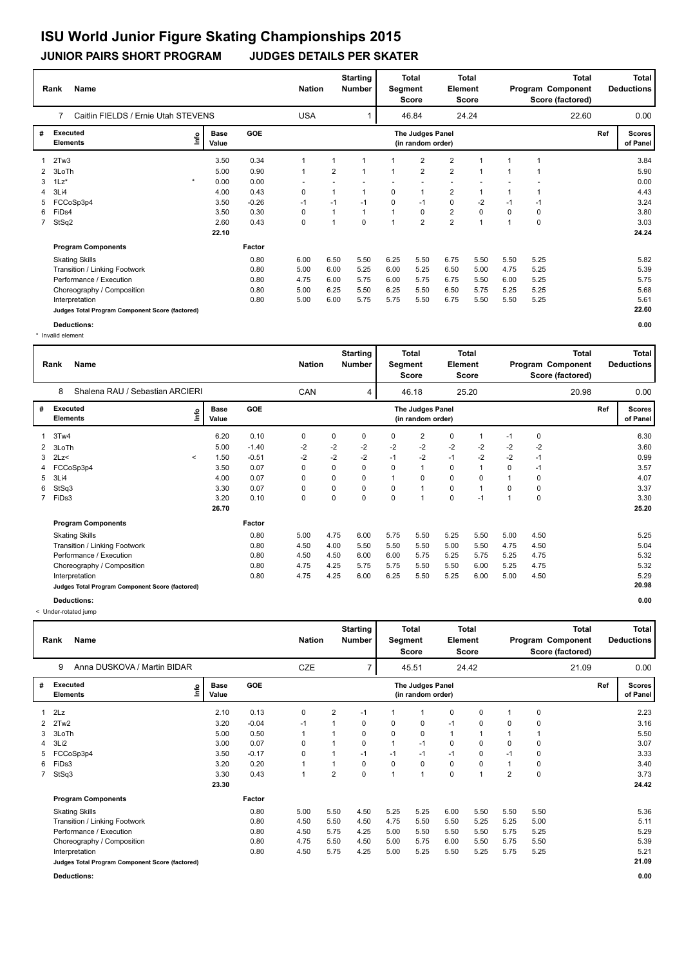**JUNIOR PAIRS SHORT PROGRAM JUDGES DETAILS PER SKATER**

|              | <b>Name</b><br>Rank                             |                      |            | <b>Nation</b> |      | <b>Starting</b><br><b>Number</b> | Segment        | <b>Total</b><br>Score                 | <b>Element</b> | <b>Total</b><br>Score |      |             | Total<br>Program Component<br>Score (factored) |     | Total<br><b>Deductions</b> |
|--------------|-------------------------------------------------|----------------------|------------|---------------|------|----------------------------------|----------------|---------------------------------------|----------------|-----------------------|------|-------------|------------------------------------------------|-----|----------------------------|
|              | Caitlin FIELDS / Ernie Utah STEVENS<br>7        |                      |            | <b>USA</b>    |      |                                  |                | 46.84                                 |                | 24.24                 |      |             | 22.60                                          |     | 0.00                       |
| #            | <b>Executed</b><br>١nf٥<br><b>Elements</b>      | <b>Base</b><br>Value | <b>GOE</b> |               |      |                                  |                | The Judges Panel<br>(in random order) |                |                       |      |             |                                                | Ref | <b>Scores</b><br>of Panel  |
|              | 2Tw3                                            | 3.50                 | 0.34       |               |      |                                  |                | $\overline{2}$                        | $\overline{2}$ |                       |      |             |                                                |     | 3.84                       |
| $\mathbf{2}$ | 3LoTh                                           | 5.00                 | 0.90       | 1             | 2    | -1                               |                | $\overline{2}$                        | $\overline{2}$ | 1                     |      |             |                                                |     | 5.90                       |
| 3            | $\star$<br>$1\text{Lz}^*$                       | 0.00                 | 0.00       |               |      |                                  |                |                                       |                |                       |      |             |                                                |     | 0.00                       |
| 4            | 3Li4                                            | 4.00                 | 0.43       | 0             | 1    | $\overline{1}$                   | 0              |                                       | 2              | 1                     |      |             |                                                |     | 4.43                       |
| 5.           | FCCoSp3p4                                       | 3.50                 | $-0.26$    | $-1$          | $-1$ | $-1$                             | 0              | $-1$                                  | $\mathbf 0$    | $-2$                  | -1   | -1          |                                                |     | 3.24                       |
| 6            | FiDs4                                           | 3.50                 | 0.30       | 0             |      | $\mathbf{1}$                     | $\overline{1}$ | 0                                     | $\overline{2}$ | 0                     | 0    | $\mathbf 0$ |                                                |     | 3.80                       |
| $7^{\circ}$  | StSq2                                           | 2.60                 | 0.43       | $\mathbf 0$   | 4    | $\Omega$                         |                | $\overline{2}$                        | $\overline{2}$ | $\overline{ }$        |      | $\mathbf 0$ |                                                |     | 3.03                       |
|              |                                                 | 22.10                |            |               |      |                                  |                |                                       |                |                       |      |             |                                                |     | 24.24                      |
|              | <b>Program Components</b>                       |                      | Factor     |               |      |                                  |                |                                       |                |                       |      |             |                                                |     |                            |
|              | <b>Skating Skills</b>                           |                      | 0.80       | 6.00          | 6.50 | 5.50                             | 6.25           | 5.50                                  | 6.75           | 5.50                  | 5.50 | 5.25        |                                                |     | 5.82                       |
|              | Transition / Linking Footwork                   |                      | 0.80       | 5.00          | 6.00 | 5.25                             | 6.00           | 5.25                                  | 6.50           | 5.00                  | 4.75 | 5.25        |                                                |     | 5.39                       |
|              | Performance / Execution                         |                      | 0.80       | 4.75          | 6.00 | 5.75                             | 6.00           | 5.75                                  | 6.75           | 5.50                  | 6.00 | 5.25        |                                                |     | 5.75                       |
|              | Choreography / Composition                      |                      | 0.80       | 5.00          | 6.25 | 5.50                             | 6.25           | 5.50                                  | 6.50           | 5.75                  | 5.25 | 5.25        |                                                |     | 5.68                       |
|              | Interpretation                                  |                      | 0.80       | 5.00          | 6.00 | 5.75                             | 5.75           | 5.50                                  | 6.75           | 5.50                  | 5.50 | 5.25        |                                                |     | 5.61                       |
|              | Judges Total Program Component Score (factored) |                      |            |               |      |                                  |                |                                       |                |                       |      |             |                                                |     | 22.60                      |
|              | Deductions:                                     |                      |            |               |      |                                  |                |                                       |                |                       |      |             |                                                |     | 0.00                       |

\* Invalid element

|   | Name<br>Rank                                    |         |                      |            | <b>Nation</b> |      | <b>Starting</b><br><b>Number</b> | Segment      | <b>Total</b><br><b>Score</b>          | Element | <b>Total</b><br><b>Score</b> |          |      | <b>Total</b><br>Program Component<br>Score (factored) |     | <b>Total</b><br><b>Deductions</b> |
|---|-------------------------------------------------|---------|----------------------|------------|---------------|------|----------------------------------|--------------|---------------------------------------|---------|------------------------------|----------|------|-------------------------------------------------------|-----|-----------------------------------|
|   | Shalena RAU / Sebastian ARCIERI<br>8            |         |                      |            | CAN           |      | 4                                |              | 46.18                                 |         | 25.20                        |          |      | 20.98                                                 |     | 0.00                              |
| # | Executed<br><b>Elements</b>                     | ۴۵      | <b>Base</b><br>Value | <b>GOE</b> |               |      |                                  |              | The Judges Panel<br>(in random order) |         |                              |          |      |                                                       | Ref | <b>Scores</b><br>of Panel         |
|   | 3Tw4                                            |         | 6.20                 | 0.10       | 0             | 0    | 0                                | 0            | 2                                     | 0       |                              | $-1$     | 0    |                                                       |     | 6.30                              |
| 2 | 3LoTh                                           |         | 5.00                 | $-1.40$    | $-2$          | $-2$ | $-2$                             | $-2$         | $-2$                                  | $-2$    | $-2$                         | $-2$     | $-2$ |                                                       |     | 3.60                              |
| 3 | 2Lz                                             | $\prec$ | 1.50                 | $-0.51$    | $-2$          | $-2$ | $-2$                             | $-1$         | $-2$                                  | $-1$    | $-2$                         | $-2$     | $-1$ |                                                       |     | 0.99                              |
|   | 4 FCCoSp3p4                                     |         | 3.50                 | 0.07       | 0             | 0    | $\Omega$                         | $\Omega$     | 1                                     | 0       | $\mathbf 1$                  | $\Omega$ | $-1$ |                                                       |     | 3.57                              |
| 5 | 3Li4                                            |         | 4.00                 | 0.07       | 0             | 0    | $\Omega$                         | $\mathbf{1}$ | $\Omega$                              | 0       | $\Omega$                     | 1        | 0    |                                                       |     | 4.07                              |
| 6 | StSq3                                           |         | 3.30                 | 0.07       | 0             | 0    | $\Omega$                         | $\Omega$     | $\overline{1}$                        | 0       | 1                            | 0        | 0    |                                                       |     | 3.37                              |
|   | 7 FiDs3                                         |         | 3.20                 | 0.10       | 0             | 0    | 0                                | 0            | $\overline{1}$                        | 0       | $-1$                         | 1        | 0    |                                                       |     | 3.30                              |
|   |                                                 |         | 26.70                |            |               |      |                                  |              |                                       |         |                              |          |      |                                                       |     | 25.20                             |
|   | <b>Program Components</b>                       |         |                      | Factor     |               |      |                                  |              |                                       |         |                              |          |      |                                                       |     |                                   |
|   | <b>Skating Skills</b>                           |         |                      | 0.80       | 5.00          | 4.75 | 6.00                             | 5.75         | 5.50                                  | 5.25    | 5.50                         | 5.00     | 4.50 |                                                       |     | 5.25                              |
|   | Transition / Linking Footwork                   |         |                      | 0.80       | 4.50          | 4.00 | 5.50                             | 5.50         | 5.50                                  | 5.00    | 5.50                         | 4.75     | 4.50 |                                                       |     | 5.04                              |
|   | Performance / Execution                         |         |                      | 0.80       | 4.50          | 4.50 | 6.00                             | 6.00         | 5.75                                  | 5.25    | 5.75                         | 5.25     | 4.75 |                                                       |     | 5.32                              |
|   | Choreography / Composition                      |         |                      | 0.80       | 4.75          | 4.25 | 5.75                             | 5.75         | 5.50                                  | 5.50    | 6.00                         | 5.25     | 4.75 |                                                       |     | 5.32                              |
|   | Interpretation                                  |         |                      | 0.80       | 4.75          | 4.25 | 6.00                             | 6.25         | 5.50                                  | 5.25    | 6.00                         | 5.00     | 4.50 |                                                       |     | 5.29                              |
|   | Judges Total Program Component Score (factored) |         |                      |            |               |      |                                  |              |                                       |         |                              |          |      |                                                       |     | 20.98                             |
|   | Deductions:                                     |         |                      |            |               |      |                                  |              |                                       |         |                              |          |      |                                                       |     | 0.00                              |

< Under-rotated jump

|                | Name<br>Rank                                    |                      |         | <b>Nation</b> |                | <b>Starting</b><br><b>Number</b> | Segment        | <b>Total</b><br>Score                 | <b>Element</b> | <b>Total</b><br><b>Score</b> |                |             | <b>Total</b><br>Program Component<br>Score (factored) |     | Total<br><b>Deductions</b> |
|----------------|-------------------------------------------------|----------------------|---------|---------------|----------------|----------------------------------|----------------|---------------------------------------|----------------|------------------------------|----------------|-------------|-------------------------------------------------------|-----|----------------------------|
|                | Anna DUSKOVA / Martin BIDAR<br>9                |                      |         | <b>CZE</b>    |                | 7                                |                | 45.51                                 |                | 24.42                        |                |             | 21.09                                                 |     | 0.00                       |
| #              | <b>Executed</b><br>lnfo<br><b>Elements</b>      | <b>Base</b><br>Value | GOE     |               |                |                                  |                | The Judges Panel<br>(in random order) |                |                              |                |             |                                                       | Ref | <b>Scores</b><br>of Panel  |
| $\mathbf{1}$   | 2Lz                                             | 2.10                 | 0.13    | 0             | 2              | $-1$                             |                |                                       | 0              | 0                            | 1              | 0           |                                                       |     | 2.23                       |
| 2              | 2Tw2                                            | 3.20                 | $-0.04$ | $-1$          |                | 0                                | 0              | 0                                     | $-1$           | 0                            | 0              | 0           |                                                       |     | 3.16                       |
| 3              | 3LoTh                                           | 5.00                 | 0.50    | 1             |                | 0                                | 0              | 0                                     | $\mathbf{1}$   |                              | $\mathbf 1$    |             |                                                       |     | 5.50                       |
| $\overline{4}$ | 3Li2                                            | 3.00                 | 0.07    | 0             |                | 0                                | $\mathbf{1}$   | $-1$                                  | $\mathbf 0$    | 0                            | $\Omega$       | 0           |                                                       |     | 3.07                       |
| 5              | FCCoSp3p4                                       | 3.50                 | $-0.17$ | 0             |                | $-1$                             | $-1$           | $-1$                                  | $-1$           | 0                            | $-1$           | 0           |                                                       |     | 3.33                       |
| 6              | FiDs3                                           | 3.20                 | 0.20    | 1             |                | 0                                | 0              | 0                                     | 0              | 0                            | 1              | 0           |                                                       |     | 3.40                       |
|                | 7 StSq3                                         | 3.30                 | 0.43    | 1             | $\overline{2}$ | $\Omega$                         | $\overline{1}$ | $\overline{1}$                        | $\mathbf 0$    | $\overline{ }$               | $\overline{2}$ | $\mathbf 0$ |                                                       |     | 3.73                       |
|                |                                                 | 23.30                |         |               |                |                                  |                |                                       |                |                              |                |             |                                                       |     | 24.42                      |
|                | <b>Program Components</b>                       |                      | Factor  |               |                |                                  |                |                                       |                |                              |                |             |                                                       |     |                            |
|                | <b>Skating Skills</b>                           |                      | 0.80    | 5.00          | 5.50           | 4.50                             | 5.25           | 5.25                                  | 6.00           | 5.50                         | 5.50           | 5.50        |                                                       |     | 5.36                       |
|                | Transition / Linking Footwork                   |                      | 0.80    | 4.50          | 5.50           | 4.50                             | 4.75           | 5.50                                  | 5.50           | 5.25                         | 5.25           | 5.00        |                                                       |     | 5.11                       |
|                | Performance / Execution                         |                      | 0.80    | 4.50          | 5.75           | 4.25                             | 5.00           | 5.50                                  | 5.50           | 5.50                         | 5.75           | 5.25        |                                                       |     | 5.29                       |
|                | Choreography / Composition                      |                      | 0.80    | 4.75          | 5.50           | 4.50                             | 5.00           | 5.75                                  | 6.00           | 5.50                         | 5.75           | 5.50        |                                                       |     | 5.39                       |
|                | Interpretation                                  |                      | 0.80    | 4.50          | 5.75           | 4.25                             | 5.00           | 5.25                                  | 5.50           | 5.25                         | 5.75           | 5.25        |                                                       |     | 5.21                       |
|                | Judges Total Program Component Score (factored) |                      |         |               |                |                                  |                |                                       |                |                              |                |             |                                                       |     | 21.09                      |
|                | Deductions:                                     |                      |         |               |                |                                  |                |                                       |                |                              |                |             |                                                       |     | 0.00                       |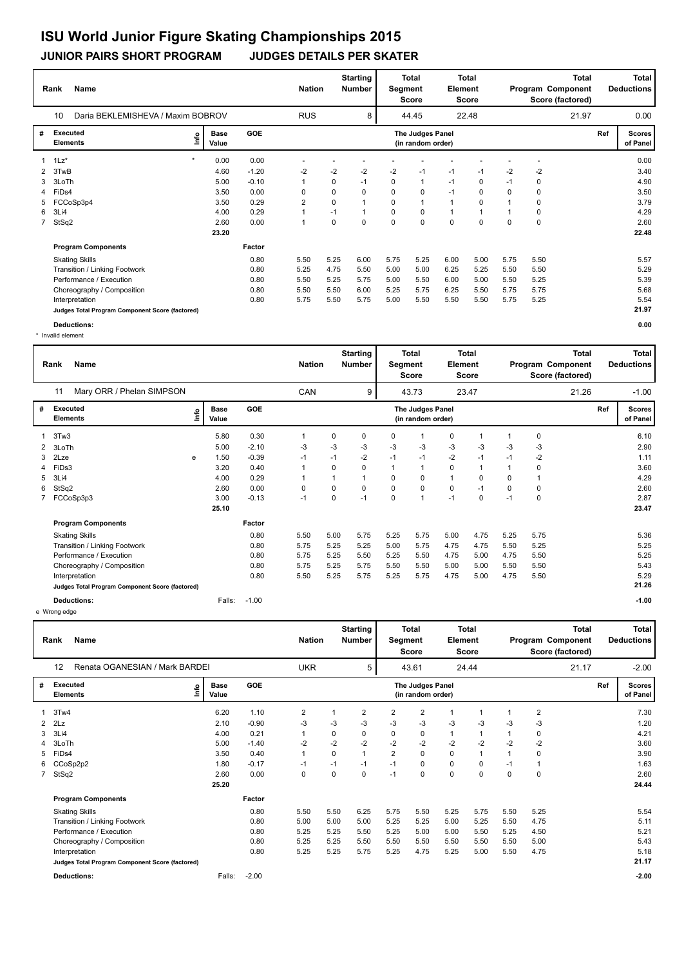**JUNIOR PAIRS SHORT PROGRAM JUDGES DETAILS PER SKATER**

|              | <b>Name</b><br>Rank                             |         |                      |            |            | <b>Nation</b> | <b>Starting</b><br>Number |             | <b>Total</b><br>Segment<br>Score      | Element        | <b>Total</b><br>Score |          |             | <b>Total</b><br>Program Component<br>Score (factored) |     | Total<br><b>Deductions</b> |
|--------------|-------------------------------------------------|---------|----------------------|------------|------------|---------------|---------------------------|-------------|---------------------------------------|----------------|-----------------------|----------|-------------|-------------------------------------------------------|-----|----------------------------|
|              | 10<br>Daria BEKLEMISHEVA / Maxim BOBROV         |         |                      |            | <b>RUS</b> |               | 8                         |             | 44.45                                 |                | 22.48                 |          |             | 21.97                                                 |     | 0.00                       |
| #            | <b>Executed</b><br><b>Elements</b>              | ١nf٥    | <b>Base</b><br>Value | <b>GOE</b> |            |               |                           |             | The Judges Panel<br>(in random order) |                |                       |          |             |                                                       | Ref | <b>Scores</b><br>of Panel  |
|              | $1\text{Lz}^*$                                  | $\star$ | 0.00                 | 0.00       |            |               |                           |             |                                       |                |                       |          |             |                                                       |     | 0.00                       |
| $\mathbf{2}$ | 3TwB                                            |         | 4.60                 | $-1.20$    | -2         | $-2$          | $-2$                      | $-2$        | $-1$                                  | $-1$           | $-1$                  | $-2$     | $-2$        |                                                       |     | 3.40                       |
| 3            | 3LoTh                                           |         | 5.00                 | $-0.10$    |            | 0             | $-1$                      | 0           | $\overline{1}$                        | $-1$           | 0                     | $-1$     | 0           |                                                       |     | 4.90                       |
| 4            | FiDs4                                           |         | 3.50                 | 0.00       | 0          | 0             | $\Omega$                  | $\Omega$    | 0                                     | $-1$           | $\Omega$              | $\Omega$ | 0           |                                                       |     | 3.50                       |
| 5            | FCCoSp3p4                                       |         | 3.50                 | 0.29       | 2          | 0             |                           | 0           |                                       | $\overline{1}$ | $\Omega$              |          | 0           |                                                       |     | 3.79                       |
| 6            | 3Li4                                            |         | 4.00                 | 0.29       |            | $-1$          | -1                        | 0           | 0                                     | $\overline{1}$ | 1                     |          | $\mathbf 0$ |                                                       |     | 4.29                       |
| $7^{\circ}$  | StSq2                                           |         | 2.60                 | 0.00       |            | 0             | $\Omega$                  | $\mathbf 0$ | $\mathbf 0$                           | $\mathbf 0$    | $\Omega$              | 0        | $\mathbf 0$ |                                                       |     | 2.60                       |
|              |                                                 |         | 23.20                |            |            |               |                           |             |                                       |                |                       |          |             |                                                       |     | 22.48                      |
|              | <b>Program Components</b>                       |         |                      | Factor     |            |               |                           |             |                                       |                |                       |          |             |                                                       |     |                            |
|              | <b>Skating Skills</b>                           |         |                      | 0.80       | 5.50       | 5.25          | 6.00                      | 5.75        | 5.25                                  | 6.00           | 5.00                  | 5.75     | 5.50        |                                                       |     | 5.57                       |
|              | Transition / Linking Footwork                   |         |                      | 0.80       | 5.25       | 4.75          | 5.50                      | 5.00        | 5.00                                  | 6.25           | 5.25                  | 5.50     | 5.50        |                                                       |     | 5.29                       |
|              | Performance / Execution                         |         |                      | 0.80       | 5.50       | 5.25          | 5.75                      | 5.00        | 5.50                                  | 6.00           | 5.00                  | 5.50     | 5.25        |                                                       |     | 5.39                       |
|              | Choreography / Composition                      |         |                      | 0.80       | 5.50       | 5.50          | 6.00                      | 5.25        | 5.75                                  | 6.25           | 5.50                  | 5.75     | 5.75        |                                                       |     | 5.68                       |
|              | Interpretation                                  |         |                      | 0.80       | 5.75       | 5.50          | 5.75                      | 5.00        | 5.50                                  | 5.50           | 5.50                  | 5.75     | 5.25        |                                                       |     | 5.54                       |
|              | Judges Total Program Component Score (factored) |         |                      |            |            |               |                           |             |                                       |                |                       |          |             |                                                       |     | 21.97                      |
|              | Deductions:                                     |         |                      |            |            |               |                           |             |                                       |                |                       |          |             |                                                       |     | 0.00                       |

\* Invalid element

|   | <b>Name</b><br>Rank                             |      |                      |         | <b>Nation</b> |      | <b>Starting</b><br>Number | Segment  | Total<br><b>Score</b>                 | <b>Element</b> | <b>Total</b><br><b>Score</b> |      |             | <b>Total</b><br>Program Component<br>Score (factored) |     | <b>Total</b><br><b>Deductions</b> |
|---|-------------------------------------------------|------|----------------------|---------|---------------|------|---------------------------|----------|---------------------------------------|----------------|------------------------------|------|-------------|-------------------------------------------------------|-----|-----------------------------------|
|   | Mary ORR / Phelan SIMPSON<br>11                 |      |                      |         | CAN           |      | 9                         |          | 43.73                                 |                | 23.47                        |      |             | 21.26                                                 |     | $-1.00$                           |
| # | Executed<br><b>Elements</b>                     | ١nfo | <b>Base</b><br>Value | GOE     |               |      |                           |          | The Judges Panel<br>(in random order) |                |                              |      |             |                                                       | Ref | <b>Scores</b><br>of Panel         |
|   | 3Tw3                                            |      | 5.80                 | 0.30    | 1             | 0    | 0                         | 0        | -1                                    | 0              |                              | 1    | 0           |                                                       |     | 6.10                              |
| 2 | 3LoTh                                           |      | 5.00                 | $-2.10$ | -3            | -3   | -3                        | $-3$     | $-3$                                  | $-3$           | $-3$                         | $-3$ | $-3$        |                                                       |     | 2.90                              |
| 3 | 2Lze                                            | e    | 1.50                 | $-0.39$ | $-1$          | $-1$ | $-2$                      | $-1$     | $-1$                                  | $-2$           | $-1$                         | $-1$ | $-2$        |                                                       |     | 1.11                              |
| 4 | FiDs3                                           |      | 3.20                 | 0.40    |               | 0    | $\Omega$                  |          | $\overline{1}$                        | $\mathbf 0$    | 1                            | 1    | 0           |                                                       |     | 3.60                              |
| 5 | 3Li4                                            |      | 4.00                 | 0.29    |               | 1    | $\mathbf{1}$              | 0        | $\mathbf 0$                           | $\mathbf{1}$   | 0                            | 0    |             |                                                       |     | 4.29                              |
| 6 | StSq2                                           |      | 2.60                 | 0.00    | 0             | 0    | 0                         | 0        | $\mathbf 0$                           | 0              | $-1$                         | 0    | $\mathbf 0$ |                                                       |     | 2.60                              |
|   | FCCoSp3p3                                       |      | 3.00                 | $-0.13$ | $-1$          | 0    | $-1$                      | $\Omega$ | $\overline{1}$                        | $-1$           | $\Omega$                     | $-1$ | $\Omega$    |                                                       |     | 2.87                              |
|   |                                                 |      | 25.10                |         |               |      |                           |          |                                       |                |                              |      |             |                                                       |     | 23.47                             |
|   | <b>Program Components</b>                       |      |                      | Factor  |               |      |                           |          |                                       |                |                              |      |             |                                                       |     |                                   |
|   | <b>Skating Skills</b>                           |      |                      | 0.80    | 5.50          | 5.00 | 5.75                      | 5.25     | 5.75                                  | 5.00           | 4.75                         | 5.25 | 5.75        |                                                       |     | 5.36                              |
|   | Transition / Linking Footwork                   |      |                      | 0.80    | 5.75          | 5.25 | 5.25                      | 5.00     | 5.75                                  | 4.75           | 4.75                         | 5.50 | 5.25        |                                                       |     | 5.25                              |
|   | Performance / Execution                         |      |                      | 0.80    | 5.75          | 5.25 | 5.50                      | 5.25     | 5.50                                  | 4.75           | 5.00                         | 4.75 | 5.50        |                                                       |     | 5.25                              |
|   | Choreography / Composition                      |      |                      | 0.80    | 5.75          | 5.25 | 5.75                      | 5.50     | 5.50                                  | 5.00           | 5.00                         | 5.50 | 5.50        |                                                       |     | 5.43                              |
|   | Interpretation                                  |      |                      | 0.80    | 5.50          | 5.25 | 5.75                      | 5.25     | 5.75                                  | 4.75           | 5.00                         | 4.75 | 5.50        |                                                       |     | 5.29                              |
|   | Judges Total Program Component Score (factored) |      |                      |         |               |      |                           |          |                                       |                |                              |      |             |                                                       |     | 21.26                             |
|   | <b>Deductions:</b>                              |      | Falls:               | $-1.00$ |               |      |                           |          |                                       |                |                              |      |             |                                                       |     | $-1.00$                           |

e Wrong edge

|              | Name<br>Rank                                    |                      |         | <b>Nation</b>  |             | <b>Starting</b><br><b>Number</b> | Segment        | <b>Total</b><br><b>Score</b>          | <b>Element</b> | <b>Total</b><br>Score |             |                | <b>Total</b><br>Program Component<br>Score (factored) |     | Total<br><b>Deductions</b> |
|--------------|-------------------------------------------------|----------------------|---------|----------------|-------------|----------------------------------|----------------|---------------------------------------|----------------|-----------------------|-------------|----------------|-------------------------------------------------------|-----|----------------------------|
|              | Renata OGANESIAN / Mark BARDEI<br>12            |                      |         | <b>UKR</b>     |             | 5                                |                | 43.61                                 |                | 24.44                 |             |                | 21.17                                                 |     | $-2.00$                    |
| #            | Executed<br>١nf٥<br><b>Elements</b>             | <b>Base</b><br>Value | GOE     |                |             |                                  |                | The Judges Panel<br>(in random order) |                |                       |             |                |                                                       | Ref | <b>Scores</b><br>of Panel  |
|              | 3Tw4                                            | 6.20                 | 1.10    | $\overline{2}$ |             | $\overline{2}$                   | $\overline{2}$ | $\overline{2}$                        |                | 1                     |             | $\overline{2}$ |                                                       |     | 7.30                       |
| $\mathbf{2}$ | 2Lz                                             | 2.10                 | $-0.90$ | -3             | -3          | -3                               | -3             | $-3$                                  | -3             | $-3$                  | -3          | $-3$           |                                                       |     | 1.20                       |
| 3            | 3Li4                                            | 4.00                 | 0.21    |                | 0           | 0                                | 0              | 0                                     | $\mathbf{1}$   | 1                     |             | 0              |                                                       |     | 4.21                       |
|              | 3LoTh                                           | 5.00                 | $-1.40$ | $-2$           | $-2$        | -2                               | $-2$           | -2                                    | $-2$           | $-2$                  | $-2$        | $-2$           |                                                       |     | 3.60                       |
| 5            | FiDs4                                           | 3.50                 | 0.40    | 1              | 0           | $\overline{1}$                   | $\overline{2}$ | 0                                     | $\mathbf 0$    | $\mathbf{1}$          |             | $\Omega$       |                                                       |     | 3.90                       |
| 6.           | CCoSp2p2                                        | 1.80                 | $-0.17$ | $-1$           | $-1$        | $-1$                             | $-1$           | $\Omega$                              | $\mathbf 0$    | $\Omega$              | $-1$        | -1             |                                                       |     | 1.63                       |
| $7^{\circ}$  | StSq2                                           | 2.60                 | 0.00    | 0              | $\mathbf 0$ | $\mathbf 0$                      | $-1$           | $\mathbf 0$                           | $\mathbf 0$    | $\mathbf 0$           | $\mathbf 0$ | $\mathbf 0$    |                                                       |     | 2.60                       |
|              |                                                 | 25.20                |         |                |             |                                  |                |                                       |                |                       |             |                |                                                       |     | 24.44                      |
|              | <b>Program Components</b>                       |                      | Factor  |                |             |                                  |                |                                       |                |                       |             |                |                                                       |     |                            |
|              | <b>Skating Skills</b>                           |                      | 0.80    | 5.50           | 5.50        | 6.25                             | 5.75           | 5.50                                  | 5.25           | 5.75                  | 5.50        | 5.25           |                                                       |     | 5.54                       |
|              | Transition / Linking Footwork                   |                      | 0.80    | 5.00           | 5.00        | 5.00                             | 5.25           | 5.25                                  | 5.00           | 5.25                  | 5.50        | 4.75           |                                                       |     | 5.11                       |
|              | Performance / Execution                         |                      | 0.80    | 5.25           | 5.25        | 5.50                             | 5.25           | 5.00                                  | 5.00           | 5.50                  | 5.25        | 4.50           |                                                       |     | 5.21                       |
|              | Choreography / Composition                      |                      | 0.80    | 5.25           | 5.25        | 5.50                             | 5.50           | 5.50                                  | 5.50           | 5.50                  | 5.50        | 5.00           |                                                       |     | 5.43                       |
|              | Interpretation                                  |                      | 0.80    | 5.25           | 5.25        | 5.75                             | 5.25           | 4.75                                  | 5.25           | 5.00                  | 5.50        | 4.75           |                                                       |     | 5.18                       |
|              | Judges Total Program Component Score (factored) |                      |         |                |             |                                  |                |                                       |                |                       |             |                |                                                       |     | 21.17                      |
|              | <b>Deductions:</b>                              | Falls:               | $-2.00$ |                |             |                                  |                |                                       |                |                       |             |                |                                                       |     | $-2.00$                    |